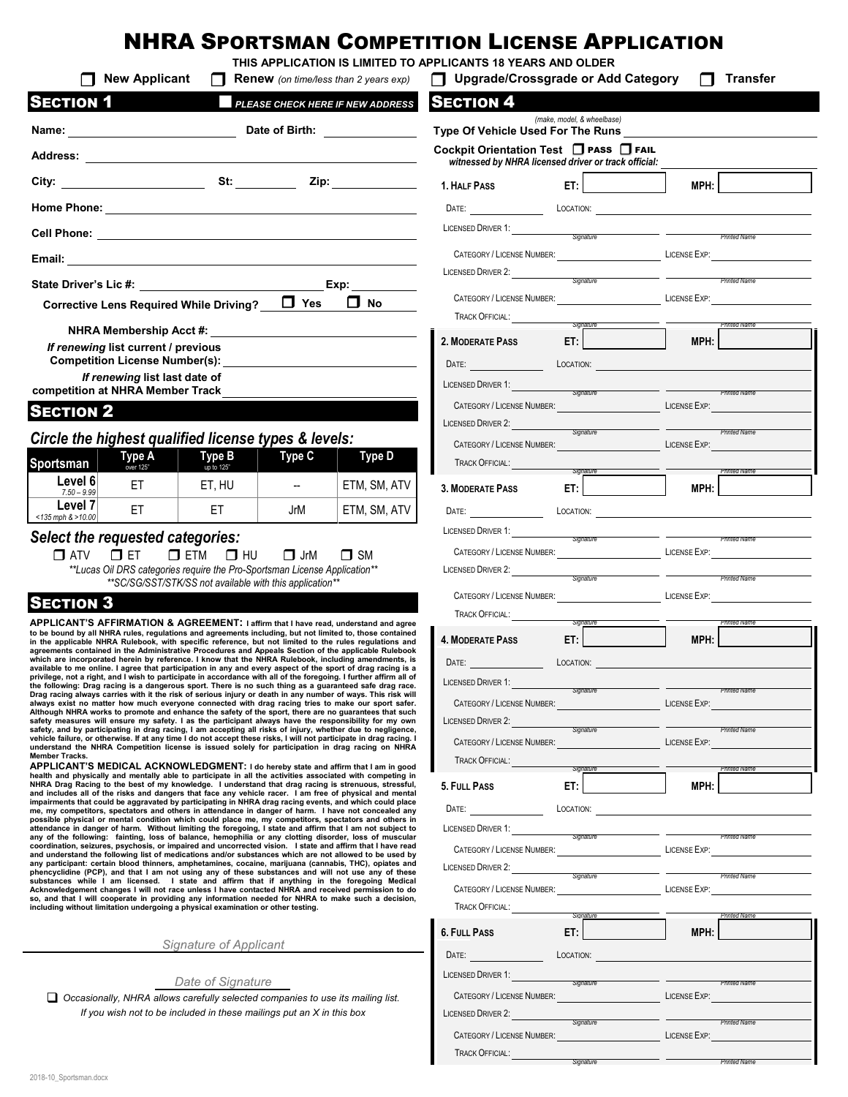# NHRA SPORTSMAN COMPETITION LICENSE APPLICATION

|                                     | <b>New Applicant</b>                                                                                                                                                                                                                                                                                                                         | Renew (on time/less than 2 years exp) |                             | <b>Upgrade/Crossgrade or Add Category</b>                                                       |                                                                                                                                                                                                                                            | $\Box$                           | <b>Transfer</b>          |
|-------------------------------------|----------------------------------------------------------------------------------------------------------------------------------------------------------------------------------------------------------------------------------------------------------------------------------------------------------------------------------------------|---------------------------------------|-----------------------------|-------------------------------------------------------------------------------------------------|--------------------------------------------------------------------------------------------------------------------------------------------------------------------------------------------------------------------------------------------|----------------------------------|--------------------------|
| <b>SECTION 1</b>                    |                                                                                                                                                                                                                                                                                                                                              | PLEASE CHECK HERE IF NEW ADDRESS      |                             | <b>SECTION 4</b>                                                                                | (make, model, & wheelbase)                                                                                                                                                                                                                 |                                  |                          |
|                                     |                                                                                                                                                                                                                                                                                                                                              |                                       |                             | Type Of Vehicle Used For The Runs                                                               |                                                                                                                                                                                                                                            |                                  |                          |
|                                     |                                                                                                                                                                                                                                                                                                                                              |                                       |                             | Cockpit Orientation Test □ PASS □ FAIL<br>witnessed by NHRA licensed driver or track official:  |                                                                                                                                                                                                                                            |                                  |                          |
|                                     |                                                                                                                                                                                                                                                                                                                                              |                                       |                             | 1. HALF PASS                                                                                    | ET: <b>ET:</b>                                                                                                                                                                                                                             | MPH:                             |                          |
|                                     |                                                                                                                                                                                                                                                                                                                                              |                                       |                             | DATE:                                                                                           |                                                                                                                                                                                                                                            | LOCATION:                        |                          |
|                                     |                                                                                                                                                                                                                                                                                                                                              |                                       |                             | LICENSED DRIVER 1: Signature Signature                                                          |                                                                                                                                                                                                                                            |                                  |                          |
|                                     |                                                                                                                                                                                                                                                                                                                                              |                                       |                             | CATEGORY / LICENSE NUMBER: LICENSE EXP: LICENSE EXP:                                            |                                                                                                                                                                                                                                            |                                  |                          |
|                                     |                                                                                                                                                                                                                                                                                                                                              |                                       | Exp: $\qquad \qquad \qquad$ | LICENSED DRIVER 2: Signature Signature                                                          |                                                                                                                                                                                                                                            |                                  |                          |
|                                     | Corrective Lens Required While Driving? D Yes                                                                                                                                                                                                                                                                                                |                                       | $\Box$ No                   | CATEGORY / LICENSE NUMBER: LICENSE EXP:                                                         |                                                                                                                                                                                                                                            |                                  |                          |
|                                     |                                                                                                                                                                                                                                                                                                                                              |                                       |                             | <b>TRACK OFFICIAL:</b>                                                                          | Signature                                                                                                                                                                                                                                  |                                  | <b>Printed Name</b>      |
| If renewing list current / previous |                                                                                                                                                                                                                                                                                                                                              |                                       |                             | 2. MODERATE PASS                                                                                | ET:                                                                                                                                                                                                                                        | <b>MPH:</b>                      |                          |
|                                     | <b>Competition License Number(s):</b><br>If renewing list last date of                                                                                                                                                                                                                                                                       |                                       |                             | DATE: <b>LOCATION: LOCATION: LOCATION: LOCATION:</b>                                            |                                                                                                                                                                                                                                            |                                  |                          |
| competition at NHRA Member Track    |                                                                                                                                                                                                                                                                                                                                              |                                       |                             | LICENSED DRIVER 1: Signature Signature Contract Contract Printed Name                           |                                                                                                                                                                                                                                            |                                  |                          |
| <b>SECTION 2</b>                    |                                                                                                                                                                                                                                                                                                                                              |                                       |                             | CATEGORY / LICENSE NUMBER: LATEN AND THE LICENSE EXP:<br>LICENSED DRIVER 2: Signature Signature |                                                                                                                                                                                                                                            |                                  |                          |
|                                     | Circle the highest qualified license types & levels:                                                                                                                                                                                                                                                                                         |                                       |                             | CATEGORY / LICENSE NUMBER: LATEN AND THE LICENSE EXP:                                           |                                                                                                                                                                                                                                            |                                  | <b>Printed Name</b>      |
| Sportsman                           | <b>Type B</b><br><b>Type A</b><br>over 125"<br>up to 125"                                                                                                                                                                                                                                                                                    | Type C                                | Type D                      | <b>TRACK OFFICIAL:</b>                                                                          | Signature <b>Signature</b>                                                                                                                                                                                                                 |                                  | Printed Name             |
| Level 6<br>$7.50 - 9.99$            | ET<br>ET, HU                                                                                                                                                                                                                                                                                                                                 | $\overline{a}$                        | ETM, SM, ATV                | <b>3. MODERATE PASS</b>                                                                         | ET: North and the second second second second second second second second second second second second second second second second second second second second second second second second second second second second second s             | MPH:                             |                          |
| Level 7<br>$<$ 135 mph & >10.00     | ET.<br>ET.                                                                                                                                                                                                                                                                                                                                   | JrM                                   | ETM, SM, ATV                | DATE:                                                                                           |                                                                                                                                                                                                                                            |                                  | LOCATION:                |
| Select the requested categories:    |                                                                                                                                                                                                                                                                                                                                              |                                       |                             | LICENSED DRIVER 1: Signature                                                                    |                                                                                                                                                                                                                                            | <b>Example 2016</b> Printed Name |                          |
| $\Box$ ET<br>$\Box$ ATV             | $\Box$ ETM<br>$\Box$ HU<br>** Lucas Oil DRS categories require the Pro-Sportsman License Application**                                                                                                                                                                                                                                       | $\Box$ JrM<br>$\Box$ SM               |                             | CATEGORY / LICENSE NUMBER: LATEN AND THE LICENSE EXP:                                           |                                                                                                                                                                                                                                            |                                  |                          |
|                                     | **SC/SG/SST/STK/SS not available with this application**                                                                                                                                                                                                                                                                                     |                                       |                             | LICENSED DRIVER 2: Signature                                                                    |                                                                                                                                                                                                                                            |                                  |                          |
| <b>SECTION 3</b>                    |                                                                                                                                                                                                                                                                                                                                              |                                       |                             | CATEGORY / LICENSE NUMBER: LICENSE EXP:<br><b>TRACK OFFICIAL:</b>                               |                                                                                                                                                                                                                                            |                                  |                          |
|                                     | APPLICANT'S AFFIRMATION & AGREEMENT: I affirm that I have read, understand and agree<br>to be bound by all NHRA rules, regulations and agreements including, but not limited to, those contained                                                                                                                                             |                                       |                             | <b>4. MODERATE PASS</b>                                                                         | Signature<br>ET: New York Contract of the Second State of the Second State of the Second State of the Second State of the Second State of the Second State of the Second State of the Second State of the Second State of the Second State | <b>MPH:</b>                      | <b>Printed Name</b>      |
|                                     | in the applicable NHRA Rulebook, with specific reference, but not limited to the rules regulations and<br>agreements contained in the Administrative Procedures and Appeals Section of the applicable Rulebook<br>which are incorporated herein by reference. I know that the NHRA Rulebook, including amendments, is                        |                                       |                             | DATE: A CONTROLLER CONTROLLER CONTROLLER                                                        |                                                                                                                                                                                                                                            | LOCATION:                        |                          |
|                                     | available to me online. I agree that participation in any and every aspect of the sport of drag racing is a<br>privilege, not a right, and I wish to participate in accordance with all of the foregoing. I further affirm all of<br>the following: Drag racing is a dangerous sport. There is no such thing as a guaranteed safe drag race. |                                       |                             | <b>LICENSED DRIVER 1:</b>                                                                       |                                                                                                                                                                                                                                            |                                  |                          |
|                                     | Drag racing always carries with it the risk of serious injury or death in any number of ways. This risk will<br>always exist no matter how much everyone connected with drag racing tries to make our sport safer.                                                                                                                           |                                       |                             | <b>CATEGORY / LICENSE NUMBER:</b>                                                               | Signature                                                                                                                                                                                                                                  | <b>LICENSE EXP:</b>              | <b>Printed Name</b>      |
|                                     | Although NHRA works to promote and enhance the safety of the sport, there are no guarantees that such<br>safety measures will ensure my safety. I as the participant always have the responsibility for my own<br>safety, and by participating in drag racing, I am accepting all risks of injury, whether due to negligence,                |                                       |                             | <b>LICENSED DRIVER 2:</b>                                                                       | Signature                                                                                                                                                                                                                                  |                                  | <b>Printed Name</b>      |
| <b>Member Tracks.</b>               | vehicle failure, or otherwise. If at any time I do not accept these risks, I will not participate in drag racing. I<br>understand the NHRA Competition license is issued solely for participation in drag racing on NHRA                                                                                                                     |                                       |                             | <b>CATEGORY / LICENSE NUMBER:</b>                                                               |                                                                                                                                                                                                                                            | LICENSE EXP:                     |                          |
|                                     | APPLICANT'S MEDICAL ACKNOWLEDGMENT: I do hereby state and affirm that I am in good<br>health and physically and mentally able to participate in all the activities associated with competing in                                                                                                                                              |                                       |                             | TRACK OFFICIAL:                                                                                 | Signature                                                                                                                                                                                                                                  |                                  | <sup>P</sup> rinted Name |
|                                     | NHRA Drag Racing to the best of my knowledge. I understand that drag racing is strenuous, stressful,<br>and includes all of the risks and dangers that face any vehicle racer. I am free of physical and mental<br>impairments that could be aggravated by participating in NHRA drag racing events, and which could place                   |                                       |                             | 5. FULL PASS                                                                                    | ET:                                                                                                                                                                                                                                        | MPH:                             |                          |
|                                     | me, my competitors, spectators and others in attendance in danger of harm. I have not concealed any<br>possible physical or mental condition which could place me, my competitors, spectators and others in                                                                                                                                  |                                       |                             | DATE:                                                                                           | LOCATION:                                                                                                                                                                                                                                  |                                  |                          |
|                                     | attendance in danger of harm. Without limiting the foregoing, I state and affirm that I am not subject to<br>any of the following: fainting, loss of balance, hemophilia or any clotting disorder, loss of muscular<br>coordination, seizures, psychosis, or impaired and uncorrected vision. I state and affirm that I have read            |                                       |                             | <b>LICENSED DRIVER 1:</b><br>CATEGORY / LICENSE NUMBER:                                         | Signature                                                                                                                                                                                                                                  | LICENSE EXP:                     |                          |
|                                     | and understand the following list of medications and/or substances which are not allowed to be used by<br>any participant: certain blood thinners, amphetamines, cocaine, marijuana (cannabis, THC), opiates and<br>phencyclidine (PCP), and that I am not using any of these substances and will not use any of these                       |                                       |                             | <b>LICENSED DRIVER 2:</b>                                                                       |                                                                                                                                                                                                                                            |                                  |                          |
|                                     | substances while I am licensed. I state and affirm that if anything in the foregoing Medical<br>Acknowledgement changes I will not race unless I have contacted NHRA and received permission to do                                                                                                                                           |                                       |                             | CATEGORY / LICENSE NUMBER:                                                                      | Sianature                                                                                                                                                                                                                                  | <b>LICENSE EXP:</b>              | <b>Printed Name</b>      |
|                                     | so, and that I will cooperate in providing any information needed for NHRA to make such a decision,<br>including without limitation undergoing a physical examination or other testing.                                                                                                                                                      |                                       |                             | TRACK OFFICIAL:                                                                                 | Signature                                                                                                                                                                                                                                  |                                  | Printed Name             |
|                                     |                                                                                                                                                                                                                                                                                                                                              |                                       |                             | <b>6. FULL PASS</b>                                                                             | ET:                                                                                                                                                                                                                                        | MPH:                             |                          |
|                                     | <b>Signature of Applicant</b>                                                                                                                                                                                                                                                                                                                |                                       |                             | DATE:                                                                                           | LOCATION:                                                                                                                                                                                                                                  |                                  |                          |
|                                     | Date of Signature                                                                                                                                                                                                                                                                                                                            |                                       |                             | LICENSED DRIVER 1:                                                                              | Signature                                                                                                                                                                                                                                  |                                  | <b>Printed Name</b>      |
|                                     | $\Box$ Occasionally, NHRA allows carefully selected companies to use its mailing list.<br>If you wish not to be included in these mailings put an X in this box                                                                                                                                                                              |                                       |                             | CATEGORY / LICENSE NUMBER:                                                                      |                                                                                                                                                                                                                                            | <b>LICENSE EXP:</b>              |                          |
|                                     |                                                                                                                                                                                                                                                                                                                                              |                                       |                             | <b>LICENSED DRIVER 2:</b><br>CATEGORY / LICENSE NUMBER:                                         | Signature                                                                                                                                                                                                                                  | LICENSE EXP:                     | Printed Name             |
|                                     |                                                                                                                                                                                                                                                                                                                                              |                                       |                             |                                                                                                 |                                                                                                                                                                                                                                            |                                  |                          |

TRACK OFFICIAL:

*Signature Printed Name*

 $\overline{\phantom{a}}$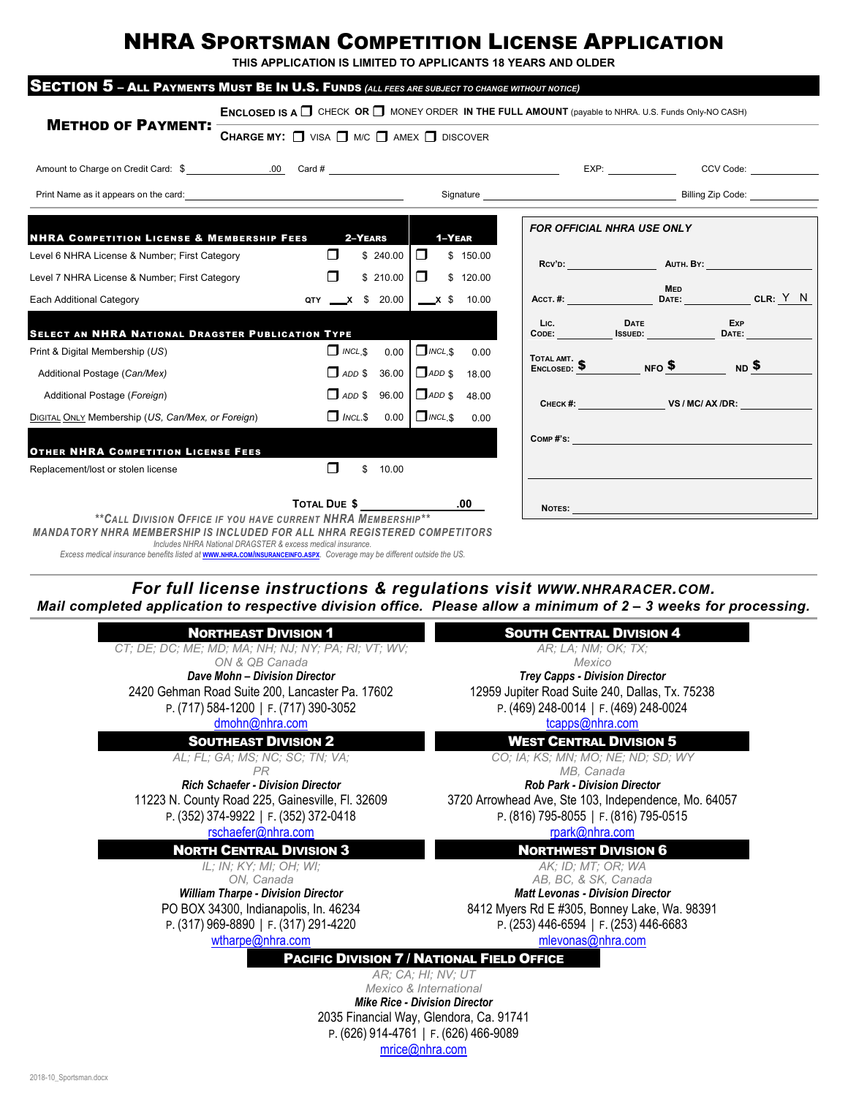## NHRA SPORTSMAN COMPETITION LICENSE APPLICATION

**THIS APPLICATION IS LIMITED TO APPLICANTS 18 YEARS AND OLDER**

|                                                                                                                                                                                                                                                                                    | <b>ENCLOSED IS A <math>\Box</math></b> CHECK OR $\Box$ MONEY ORDER IN THE FULL AMOUNT (payable to NHRA. U.S. Funds Only-NO CASH) |                             |             |                                         |          |      |                                                                                                                                                                                                                               |            |
|------------------------------------------------------------------------------------------------------------------------------------------------------------------------------------------------------------------------------------------------------------------------------------|----------------------------------------------------------------------------------------------------------------------------------|-----------------------------|-------------|-----------------------------------------|----------|------|-------------------------------------------------------------------------------------------------------------------------------------------------------------------------------------------------------------------------------|------------|
| <b>METHOD OF PAYMENT:</b>                                                                                                                                                                                                                                                          | <b>CHARGE MY:</b> $\Box$ VISA $\Box$ M/C $\Box$ AMEX $\Box$ DISCOVER                                                             |                             |             |                                         |          |      |                                                                                                                                                                                                                               |            |
|                                                                                                                                                                                                                                                                                    |                                                                                                                                  |                             |             |                                         |          |      |                                                                                                                                                                                                                               |            |
|                                                                                                                                                                                                                                                                                    |                                                                                                                                  |                             |             |                                         |          |      |                                                                                                                                                                                                                               |            |
| <b>NHRA COMPETITION LICENSE &amp; MEMBERSHIP FEES</b>                                                                                                                                                                                                                              |                                                                                                                                  |                             | 2-YEARS     | 1-YEAR                                  |          |      | <b>FOR OFFICIAL NHRA USE ONLY</b>                                                                                                                                                                                             |            |
| Level 6 NHRA License & Number; First Category                                                                                                                                                                                                                                      |                                                                                                                                  | $\Box$                      | \$240.00    | $\Box$                                  | \$150.00 |      |                                                                                                                                                                                                                               |            |
| Level 7 NHRA License & Number; First Category                                                                                                                                                                                                                                      |                                                                                                                                  | $\Box$                      | \$210.00    | $\Box$                                  | \$120.00 |      |                                                                                                                                                                                                                               |            |
| Each Additional Category                                                                                                                                                                                                                                                           |                                                                                                                                  | QTY x \$ 20.00 $x$ \$ 10.00 |             |                                         |          |      | <b>MED</b><br>Acct.#: DATE: CLR: Y N                                                                                                                                                                                          |            |
| SELECT AN NHRA NATIONAL DRAGSTER PUBLICATION TYPE                                                                                                                                                                                                                                  |                                                                                                                                  |                             |             |                                         |          | Lic. | <b>DATE</b><br>CODE: ISSUED: DATE:                                                                                                                                                                                            | <b>Exp</b> |
| Print & Digital Membership (US)                                                                                                                                                                                                                                                    |                                                                                                                                  | $\Box$ INCL, \$             |             | $0.00$ $\Box$ INCL.\$                   | 0.00     |      |                                                                                                                                                                                                                               |            |
| Additional Postage (Can/Mex)                                                                                                                                                                                                                                                       |                                                                                                                                  |                             |             | $\Box$ ADD \$ 36.00 $\Box$ ADD \$       | 18.00    |      | TOTAL AMT.<br>ENCLOSED: SAND NFO SAND ND SAND MONTH                                                                                                                                                                           |            |
| Additional Postage (Foreign)                                                                                                                                                                                                                                                       |                                                                                                                                  |                             |             | $\Box$ ADD \$ 96.00 $\Box$ ADD \$ 48.00 |          |      | CHECK #: VS / MC/ AX /DR:                                                                                                                                                                                                     |            |
| DIGITAL ONLY Membership (US, Can/Mex, or Foreign)                                                                                                                                                                                                                                  |                                                                                                                                  | $\Box$ INCL.S               |             | $0.00$ $\Box$ <i>INCL</i> \$            | 0.00     |      |                                                                                                                                                                                                                               |            |
| <b>OTHER NHRA COMPETITION LICENSE FEES</b>                                                                                                                                                                                                                                         |                                                                                                                                  |                             |             |                                         |          |      | $\mathsf{Comp}~\sharp\text{'s}:$                                                                                                                                                                                              |            |
| Replacement/lost or stolen license                                                                                                                                                                                                                                                 |                                                                                                                                  | $\Box$                      | \$<br>10.00 |                                         |          |      |                                                                                                                                                                                                                               |            |
|                                                                                                                                                                                                                                                                                    |                                                                                                                                  | TOTAL DUE \$                |             | $\overline{\phantom{0}}$ .00            |          |      | NOTES: A CONSTRUCTION OF THE CONSTRUCTION OF THE CONSTRUCTION OF THE CONSTRUCTION OF THE CONSTRUCTION OF THE CONSTRUCTION OF THE CONSTRUCTION OF THE CONSTRUCTION OF THE CONSTRUCTION OF THE CONSTRUCTION OF THE CONSTRUCTION |            |
| **CALL DIVISION OFFICE IF YOU HAVE CURRENT NHRA MEMBERSHIP**<br><b>MANDATORY NHRA MEMBERSHIP IS INCLUDED FOR ALL NHRA REGISTERED COMPETITORS</b><br>Excess medical insurance benefits listed at <b>www.NHRA.com/INSURANCEINFO.ASPX</b> . Coverage may be different outside the US. | Includes NHRA National DRAGSTER & excess medical insurance.                                                                      |                             |             |                                         |          |      |                                                                                                                                                                                                                               |            |

*Mail completed application to respective division office. Please allow a minimum of 2 – 3 weeks for processing.*

| <b>NORTHEAST DIVISION 1</b><br><b>SOUTH CENTRAL DIVISION 4</b><br>CT; DE; DC; ME; MD; MA; NH; NJ; NY; PA; RI; VT; WV;<br>AR; LA; NM; OK; TX;<br>ON & QB Canada<br>Mexico<br><b>Trey Capps - Division Director</b><br>Dave Mohn - Division Director |
|----------------------------------------------------------------------------------------------------------------------------------------------------------------------------------------------------------------------------------------------------|
|                                                                                                                                                                                                                                                    |
|                                                                                                                                                                                                                                                    |
|                                                                                                                                                                                                                                                    |
|                                                                                                                                                                                                                                                    |
| 12959 Jupiter Road Suite 240, Dallas, Tx. 75238<br>2420 Gehman Road Suite 200, Lancaster Pa. 17602                                                                                                                                                 |
| P. (469) 248-0014   F. (469) 248-0024<br>P. (717) 584-1200   F. (717) 390-3052                                                                                                                                                                     |
| dmohn@nhra.com<br>tcapps@nhra.com                                                                                                                                                                                                                  |
| <b>SOUTHEAST DIVISION 2</b><br><b>WEST CENTRAL DIVISION 5</b>                                                                                                                                                                                      |
| CO; IA; KS; MN; MO; NE; ND; SD; WY<br>AL; FL; GA; MS; NC; SC; TN; VA;                                                                                                                                                                              |
| MB, Canada<br><b>PR</b>                                                                                                                                                                                                                            |
| <b>Rich Schaefer - Division Director</b><br><b>Rob Park - Division Director</b>                                                                                                                                                                    |
| 11223 N. County Road 225, Gainesville, Fl. 32609<br>3720 Arrowhead Ave, Ste 103, Independence, Mo. 64057                                                                                                                                           |
| P. (352) 374-9922   F. (352) 372-0418<br>P. (816) 795-8055   F. (816) 795-0515                                                                                                                                                                     |
| rschaefer@nhra.com<br>rpark@nhra.com                                                                                                                                                                                                               |
| <b>NORTH CENTRAL DIVISION 3</b><br><b>NORTHWEST DIVISION 6</b>                                                                                                                                                                                     |
| IL: IN: KY: MI: OH: WI:<br>AK: ID: MT: OR: WA                                                                                                                                                                                                      |
| AB, BC, & SK, Canada<br>ON. Canada                                                                                                                                                                                                                 |
| <b>William Tharpe - Division Director</b><br><b>Matt Levonas - Division Director</b>                                                                                                                                                               |
| PO BOX 34300, Indianapolis, In. 46234<br>8412 Myers Rd E #305, Bonney Lake, Wa. 98391                                                                                                                                                              |
| P. (317) 969-8890   F. (317) 291-4220<br>P. (253) 446-6594   F. (253) 446-6683                                                                                                                                                                     |
| wtharpe@nhra.com<br>mlevonas@nhra.com                                                                                                                                                                                                              |
| <b>PACIFIC DIVISION 7 / NATIONAL FIELD OFFICE</b>                                                                                                                                                                                                  |
| AR: CA: HI: NV: UT                                                                                                                                                                                                                                 |
| Mexico & International                                                                                                                                                                                                                             |
| <b>Mike Rice - Division Director</b>                                                                                                                                                                                                               |
| 2035 Financial Way, Glendora, Ca. 91741                                                                                                                                                                                                            |

P. (626) 914-4761 | F. (626) 466-9089

[mrice@nhra.com](mailto:mrice@nhra.com;%20cdyson@Nhra.com;%20respinosa@nhra.com?subject=NHRA%20Competition%20License)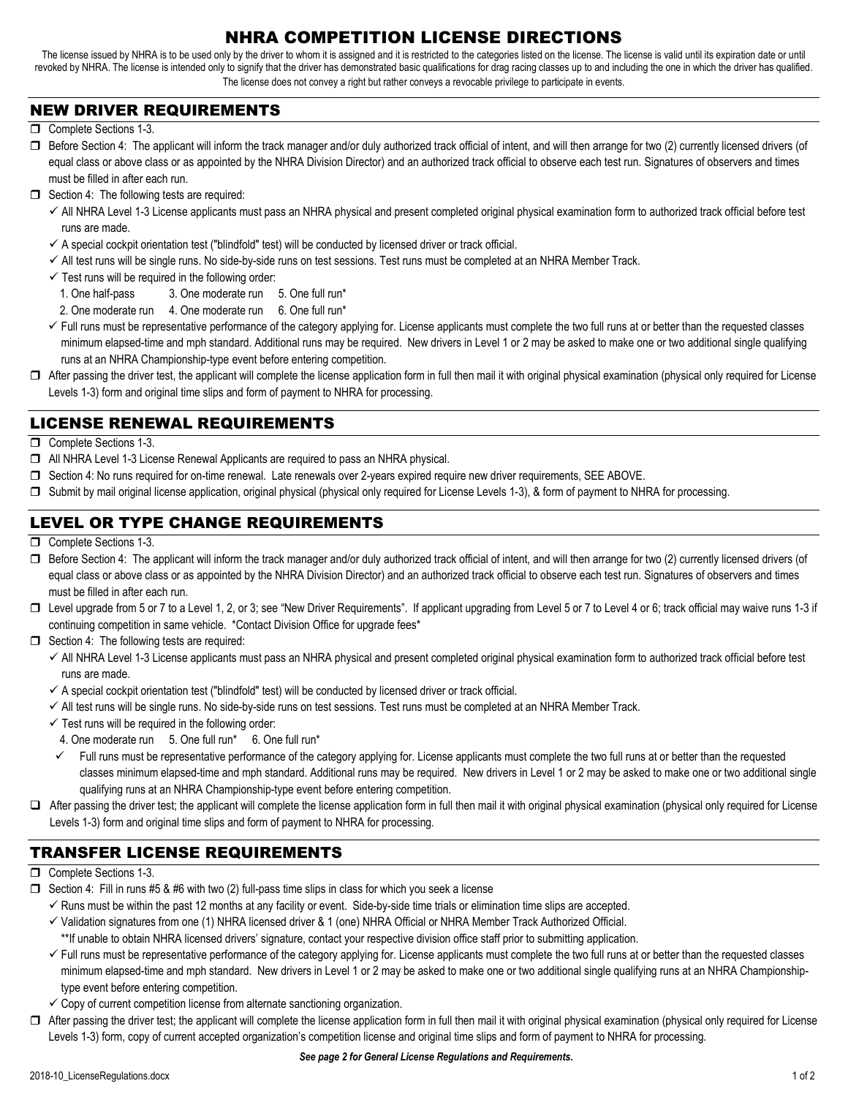### NHRA COMPETITION LICENSE DIRECTIONS

The license issued by NHRA is to be used only by the driver to whom it is assigned and it is restricted to the categories listed on the license. The license is valid until its expiration date or until revoked by NHRA. The license is intended only to signify that the driver has demonstrated basic qualifications for drag racing classes up to and including the one in which the driver has qualified. The license does not convey a right but rather conveys a revocable privilege to participate in events.

#### NEW DRIVER REQUIREMENTS

- Complete Sections 1-3.
- $\Box$  Before Section 4: The applicant will inform the track manager and/or duly authorized track official of intent, and will then arrange for two (2) currently licensed drivers (of equal class or above class or as appointed by the NHRA Division Director) and an authorized track official to observe each test run. Signatures of observers and times must be filled in after each run.
- $\Box$  Section 4: The following tests are required:
	- All NHRA Level 1-3 License applicants must pass an NHRA physical and present completed original physical examination form to authorized track official before test runs are made.
	- $\checkmark$  A special cockpit orientation test ("blindfold" test) will be conducted by licensed driver or track official.
	- All test runs will be single runs. No side-by-side runs on test sessions. Test runs must be completed at an NHRA Member Track.
	- $\checkmark$  Test runs will be required in the following order:
		- 1. One half-pass 3. One moderate run 5. One full run\*
		- 2. One moderate run 4. One moderate run 6. One full run\*
	- Full runs must be representative performance of the category applying for. License applicants must complete the two full runs at or better than the requested classes minimum elapsed-time and mph standard. Additional runs may be required. New drivers in Level 1 or 2 may be asked to make one or two additional single qualifying runs at an NHRA Championship-type event before entering competition.
- $\Box$  After passing the driver test, the applicant will complete the license application form in full then mail it with original physical examination (physical only required for License Levels 1-3) form and original time slips and form of payment to NHRA for processing.

#### LICENSE RENEWAL REQUIREMENTS

- Complete Sections 1-3.
- All NHRA Level 1-3 License Renewal Applicants are required to pass an NHRA physical.
- □ Section 4: No runs required for on-time renewal. Late renewals over 2-years expired require new driver requirements, SEE ABOVE.
- □ Submit by mail original license application, original physical (physical only required for License Levels 1-3), & form of payment to NHRA for processing.

#### LEVEL OR TYPE CHANGE REQUIREMENTS

- Complete Sections 1-3.
- $\Box$  Before Section 4: The applicant will inform the track manager and/or duly authorized track official of intent, and will then arrange for two (2) currently licensed drivers (of equal class or above class or as appointed by the NHRA Division Director) and an authorized track official to observe each test run. Signatures of observers and times must be filled in after each run.
- □ Level upgrade from 5 or 7 to a Level 1, 2, or 3; see "New Driver Requirements". If applicant upgrading from Level 5 or 7 to Level 4 or 6; track official may waive runs 1-3 if continuing competition in same vehicle. \*Contact Division Office for upgrade fees\*
- $\Box$  Section 4: The following tests are required:
	- $\checkmark$  All NHRA Level 1-3 License applicants must pass an NHRA physical and present completed original physical examination form to authorized track official before test runs are made.
	- $\checkmark$  A special cockpit orientation test ("blindfold" test) will be conducted by licensed driver or track official.
	- All test runs will be single runs. No side-by-side runs on test sessions. Test runs must be completed at an NHRA Member Track.
	- $\checkmark$  Test runs will be required in the following order:
		- 4. One moderate run 5. One full run\* 6. One full run\*
	- $\checkmark$  Full runs must be representative performance of the category applying for. License applicants must complete the two full runs at or better than the requested classes minimum elapsed-time and mph standard. Additional runs may be required. New drivers in Level 1 or 2 may be asked to make one or two additional single qualifying runs at an NHRA Championship-type event before entering competition.
- □ After passing the driver test; the applicant will complete the license application form in full then mail it with original physical examination (physical only required for License Levels 1-3) form and original time slips and form of payment to NHRA for processing.

#### TRANSFER LICENSE REQUIREMENTS

- Complete Sections 1-3.
- $\Box$  Section 4: Fill in runs #5 & #6 with two (2) full-pass time slips in class for which you seek a license
	- $\checkmark$  Runs must be within the past 12 months at any facility or event. Side-by-side time trials or elimination time slips are accepted.
	- Validation signatures from one (1) NHRA licensed driver & 1 (one) NHRA Official or NHRA Member Track Authorized Official.
	- \*\*If unable to obtain NHRA licensed drivers' signature, contact your respective division office staff prior to submitting application.
	- $\checkmark$  Full runs must be representative performance of the category applying for. License applicants must complete the two full runs at or better than the requested classes minimum elapsed-time and mph standard. New drivers in Level 1 or 2 may be asked to make one or two additional single qualifying runs at an NHRA Championshiptype event before entering competition.
	- $\checkmark$  Copy of current competition license from alternate sanctioning organization.
- □ After passing the driver test; the applicant will complete the license application form in full then mail it with original physical examination (physical only required for License Levels 1-3) form, copy of current accepted organization's competition license and original time slips and form of payment to NHRA for processing.